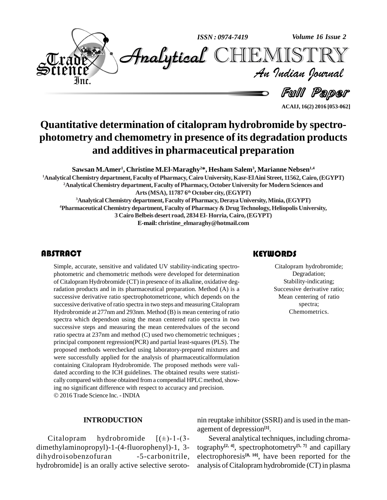

**ACAIJ, 16(2) 2016 [053-062]**

### **Quantitative determination of citalopram hydrobromide by spectro photometry and chemometry in presence of its degradation products and additivesin pharmaceutical preparation**

**Sawsan M.Amer 1 , Christine M.El-Maraghy <sup>2</sup>\*, Hesham Salem<sup>3</sup> , Marianne Nebsen 1,4 <sup>1</sup>Analytical Chemistry department,Faculty of Pharmacy, Cairo University,Kasr-ElAini Street, 11562, Cairo,(EGYPT)**

**Analytical Chemistry department, Faculty ofPharmacy,OctoberUniversity forModern Sciences and Arts(MSA), 11787 6 th October city,(EGYPT) AnalyticalChemistry department,Faculty ofPharmacy, DerayaUniversity,Minia,(EGYPT) Pharmaceutical Chemistry department, Faculty of Pharmacy & DrugTechnology, Heliopolis University, CairoBelbeis desert road, 2834El-Horria, Cairo,(EGYPT)**

**E-mail: [christine\\_elmaraghy@hotmail.com](mailto:christine_elmaraghy@hotmail.com)**

Simple, accurate, sensiti<br>photometric and chemor<br>of Citalopram Hydrobror Simple, accurate, sensitive and validated UV stability-indicating spectro photometric and chemometric methods were developed for determination of Citalopram Hydrobromide (CT) in presence of its alkaline, oxidative degradation products and in its pharmaceutical preparation. Method (A) is a successive derivative ratio spectrophotometricone, which depends on the successive derivative ofratio spectra in two steps and measuring Citalopram Hydrobromide at 277nm and 293nm. Method (B) is mean centering of ratio spectra which dependson using the mean centered ratio spectra in two successive steps and measuring the mean centeredvalues of the second ratio spectra at 237nm and method (C) used two chemometric techniques ; principal component regression(PCR) and partial least-squares (PLS). The proposed methods werechecked using laboratory-prepared mixtures and were successfully applied for the analysis of pharmaceuticalformulation containing Citalopram Hydrobromide. The proposed methods were vali dated according to the ICH guidelines. The obtained results were statisti cally compared with those obtained from a compendial HPLC method, showing no significant difference with respect to accuracy and precision. © 2016 Trade Science Inc. - INDIA

#### **KEYWORDS**

Citalopram hydrob<br>Degradation<br>Stability-indica Citalopram hydrobromide; Degradation; Stability-indicating; Successive derivative ratio; Mean centering of ratio spectra; Chemometrics.

#### **INTRODUCTION**

**INTRODUCTION** nin age<br>Citalopram hydrobromide  $[(\pm)$ -1-(3dimethylaminopropyl)-1-(4-fluorophenyl)-1, 3 dihydroisobenzofuran -5-carbonitrile, hydrobromide] is an orally active selective seroto-

nin reuptake inhibitor (SSRI) and is used in the man agement of depression **[1]**.

Several analytical techniques, including chromatography **[2, 4]**, spectrophotometry **[5, 7]** and capillary electrophoresis **[8, 10]**, have been reported for the analysis of Citalopram hydrobromide (CT) in plasma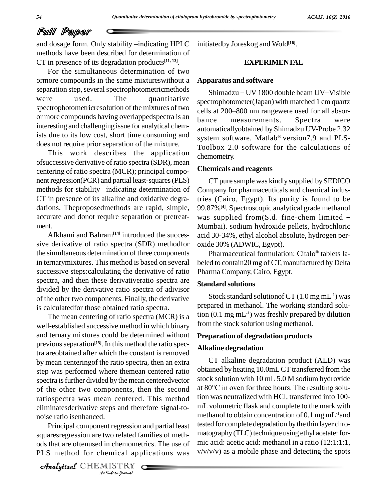and dosage form. Only stability -indicating HPLC methods have been described for determination of CT in presence of its degradation products **[11, 13]**.

For the simultaneous determination of two ormore compounds in the same mixtureswithout a separation step, several spectrophotometricmethods<br>Shimadzu – UV 1800 double beam UV-Visible were used. The quantitative spectrophotometricresolution of the mixtures of two<br>cells at 200–800 nm rangewere used for all absoror more compounds having overlappedspectra is an bance interesting and challenging issue for analytical chemists due to its low cost, short time consuming and does not require prior separation of the mixture.

This work describes the application ofsuccessive derivative ofratio spectra (SDR), mean centering of ratio spectra (MCR); principal compo nent regression(PCR) and partial least-squares(PLS) methods for stability -indicating determination of CT in presence of its alkaline and oxidative degra dations. Theproposedmethods are rapid, simple, accurate and donot require separation or pretreat- was supplied from  $(S.d.$  fine-chem limited ment.<br>Afkhami and Bahram<sup>[14]</sup> introduced the succes-

sive derivative of ratio spectra (SDR) methodfor the simultaneous determination of three components in ternarymixtures. This method is based on several successive steps:calculating the derivative of ratio spectra, and then these derivativeratio spectra are divided by the derivative ratio spectra of adivisor of the other two components. Finally, the derivative is calculatedfor those obtained ratio spectra.

*An*noise ratio isenhanced. The mean centering of ratio spectra (MCR) is a well-established successive method in which binary and ternary mixtures could be determined without previous separation<sup>[15]</sup>. In this method the ratio spectra areobtained after which the constant is removed by mean centeringof the ratio spectra, then an extra step was performed where themean centered ratio spectra is further divided by the mean centeredvector<br>of the other two components then the second at 80<sup>o</sup>C in oven for three hours. The resulting soluof the other two components, then the second ratiospectra was mean centered. This method eliminatesderivative steps and therefore signal-to-

*Indian*<br>*Indian*<br>*Indian*<br>*IISTRY*<br>*Indian Dournal* Principal component regression and partial least tes squaresregression are two related families of meth ods that are oftenused in chemometrics. The use of PLS method for chemical applications was

CHEMISTRY COMPANY

initiatedby Joreskog and Wold **[16]**.

### **EXPERIMENTAL**

#### **Apparatus and software**

iatedby Joreskog and Wold<sup>[16]</sup>.<br>EXPERIMENTAL<br>paratus and software<br>Shimadzu – UV 1800 double beam UV–Visible spectrophotometer(Japan) with matched 1 cm quartz **EXPERIMENTAL**<br> **Apparatus and software**<br>
Shimadzu – UV 1800 double beam UV–Visible<br>
spectrophotometer(Japan) with matched 1 cm quartz<br>
cells at 200–800 nm rangewere used for all absormeasurements. Spectra were automaticallyobtained by Shimadzu UV-Probe 2.32 Æsystem software. Matlab<sup>®</sup> version7.9 and PLS-Toolbox 2.0 software for the calculations of chemometry.

#### **Chemicals and reagents**

CT pure sample was kindly supplied by SEDICO Company for pharmaceuticals and chemical industries (Cairo, Egypt). Its purity is found to be 99.87%**[4]**. Spectroscopic analytical grade methanol Chemicals and reagents<br>
CT pure sample was kindly supplied by SEDICO<br>
Company for pharmaceuticals and chemical indus-<br>
tries (Cairo, Egypt). Its purity is found to be<br>
99.87%<sup>[4]</sup>. Spectroscopic analytical grade methanol<br> Mumbai). sodium hydroxide pellets, hydrochloric acid 30-34%, ethyl alcohol absolute, hydrogen per oxide 30% (ADWIC, Egypt).

Pharmaceutical formulation: Citalo<sup>®</sup> tablets labeled to contain20 mg of CT, manufactured by Delta Pharma Company, Cairo, Egypt.

#### **Standard solutions**

Stock standard solutionof CT  $(1.0 \text{ mg} \text{ mL}^{-1})$  was prepared in methanol. The working standard solution (0.1 mg mL -1) was freshly prepared by dilution from the stock solution using methanol.

#### **Preparation of degradation products**

#### **Alkaline degradation**

CT alkaline degradation product (ALD) was obtained by heating 10.0mLCT transferred from the stock solution with 10 mL 5.0 M sodium hydroxide obtained by heating 10.0mL CT transferred from the<br>stock solution with 10 mL 5.0 M sodium hydroxide<br>at 80°C in oven for three hours. The resulting solution was neutralized with HCl, transferred into 100 mL volumetric flask and complete to the mark with methanol to obtain concentration of  $0.1\,\mathrm{mg}\,\mathrm{mL}\mathrm{^{\text{-}1}}$ and tested for complete degradation bythe thin layer chro matography (TLC) technique using ethyl acetate: formic acid: acetic acid: methanol in a ratio (12:1:1:1,  $v/v/v/v$ ) as a mobile phase and detecting the spots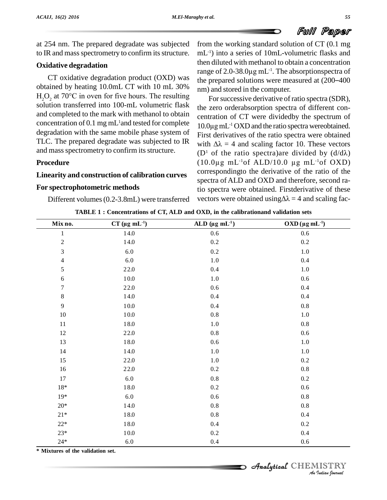

at 254 nm.The prepared degradate was subjected to IR and mass spectrometry to confirm its structure.

### **Oxidative degradation**

obtained by heating 10.0mL CT with 10 mL 30%  $H_2O_2$  at 70°C in oven for five hours. The resulting solution transferred into 100-mL volumetric flask and completed to the mark with methanol to obtain concentration of 0.1 mg mL<sup>1</sup> and tested for complete  $10.0<sub>u</sub>$ degradation with the same mobile phase system of TLC. The prepared degradate was subjected to IR and mass spectrometry to confirm its structure.

#### **Procedure**

#### **Linearity and construction of calibration curves**

#### **For spectrophotometric methods**

CT oxidative degradation product (OXD) was the prepared solutions were measured at  $(200-400)$ from the working standard solution of CT (0.1 mg mL -1) into a series of 10mL-volumetric flasks and then diluted with methanol to obtain a concentration mL<sup>-1</sup>) into a series of 10mL-volum<br>then diluted with methanol to obtain<br>range of 2.0-38.0µg mL<sup>-1</sup>. The abso -1 . The absorptionspectra of **Fulli Paper**<br>from the working standard solution of CT (0.1 mg<br>mL<sup>-1</sup>) into a series of 10mL-volumetric flasks and<br>then diluted with methanol to obtain a concentration<br>range of 2.0-38.0 $\mu$ g mL<sup>-1</sup>. The absorptionspectra nm) and stored in the computer.

Different volumes (0.2-3.8mL) were transferred vectors were obtained using  $\Delta \lambda = 4$  and scaling fac-For successive derivative of ratio spectra (SDR), the zero orderabsorption spectra of different concentration of CT were dividedby the spectrum of  $10.0\mu$ gmL<sup>-1</sup> OXD and the ratio spectra wereobtained. centration of CT were dividedby the spectrum of -1 OXD and the ratio spectra wereobtained. First derivatives of the ratio spectra were obtained 10.0 $\mu$ g mL<sup>-1</sup> OXD and the ratio spectra were obtained.<br>First derivatives of the ratio spectra were obtained with  $\Delta\lambda = 4$  and scaling factor 10. These vectors First derivatives of the ratio spectra were obtained<br>with  $\Delta \lambda = 4$  and scaling factor 10. These vectors<br>(D<sup>1</sup> of the ratio spectra)are divided by (d/d $\lambda$ ) with  $\Delta \lambda = 4$  and scaling factor 10. These vectors<br>(D<sup>1</sup> of the ratio spectra)are divided by (d/d $\lambda$ )<br>(10.0µg mL<sup>-1</sup>of ALD/10.0 µg mL<sup>-1</sup>of OXD)  $(10.0\mu g \text{ mL}^{-1} \text{of } ALD/10.0 \mu g \text{ mL}^{-1} \text{of } OXD)$ correspondingto the derivative of the ratio of the spectra of ALD and OXD and therefore, second ratio spectra were obtained. First derivative of these vectors were obtained using  $\Delta \lambda = 4$  and scaling factio spectra were obtained. Firstderivative of these

| TABLE 1: Concentrations of CT, ALD and OXD, in the calibrationand validation sets |  |  |  |  |
|-----------------------------------------------------------------------------------|--|--|--|--|
|                                                                                   |  |  |  |  |

| Mix no.                     | $CT$ (µg mL <sup>-1</sup> ) | ALD $(\mu g \, mL^{-1})$ | $OXD (\mu g mL^{-1})$ |
|-----------------------------|-----------------------------|--------------------------|-----------------------|
| $\mathbf{1}$                | 14.0                        | 0.6                      | 0.6                   |
| $\sqrt{2}$                  | 14.0                        | 0.2                      | 0.2                   |
| $\ensuremath{\mathfrak{Z}}$ | 6.0                         | 0.2                      | 1.0                   |
| $\overline{4}$              | 6.0                         | $1.0\,$                  | 0.4                   |
| 5                           | 22.0                        | 0.4                      | 1.0                   |
| $\sqrt{6}$                  | 10.0                        | $1.0\,$                  | 0.6                   |
| $\boldsymbol{7}$            | 22.0                        | 0.6                      | 0.4                   |
| $\,8\,$                     | 14.0                        | 0.4                      | 0.4                   |
| $\overline{9}$              | 10.0                        | 0.4                      | 0.8                   |
| 10                          | 10.0                        | 0.8                      | 1.0                   |
| 11                          | 18.0                        | $1.0\,$                  | 0.8                   |
| 12                          | 22.0                        | 0.8                      | 0.6                   |
| 13                          | 18.0                        | $0.6\,$                  | $1.0\,$               |
| 14                          | 14.0                        | 1.0                      | 1.0                   |
| 15                          | 22.0                        | $1.0\,$                  | 0.2                   |
| 16                          | 22.0                        | 0.2                      | 0.8                   |
| 17                          | $6.0\,$                     | $0.8\,$                  | 0.2                   |
| $18*$                       | 18.0                        | 0.2                      | 0.6                   |
| $19*$                       | 6.0                         | 0.6                      | 0.8                   |
| $20*$                       | 14.0                        | 0.8                      | 0.8                   |
| $21*$                       | 18.0                        | 0.8                      | 0.4                   |
| $22*$                       | 18.0                        | 0.4                      | 0.2                   |
| $23*$                       | $10.0\,$                    | 0.2                      | 0.4                   |
| $24*$                       | 6.0                         | 0.4                      | 0.6                   |

# CHEMISTRY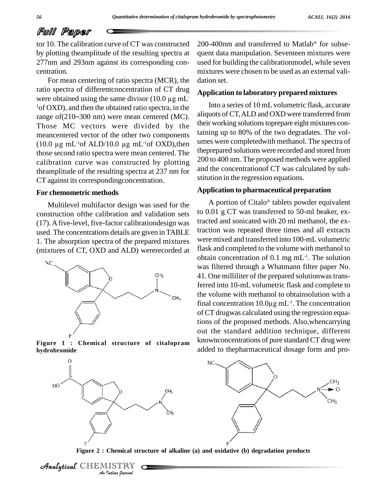Æ

### Full Paper

tor 10. The calibration curve of CT was constructed by plotting theamplitude of the resulting spectra at centration.

277nm and 293nm against its corresponding concentration.<br>
For mean centering of ratio spectra (MCR), the dation<br>
ratio spectra of different<br>
concentration of CT drug<br>
were obtained using the same divisor (10.0 µg mL<br>
<sup>1</sup>o For mean centering of ratio spectra (MCR), the ratio spectra of differentconcentration of CT drug For mean centering of ratio spectra (MCR), the dation seratio spectra of different<br>concentration of CT drug Applica were obtained using the same divisor (10.0  $\mu$ g mL <sup>1</sup> of OXD), and then the obtained ratio spectra, in the Those MC vectors were divided by the meancentered vector of the other two components laim Those MC vectors were divided by<br>meancentered vector of the other two compon<br>(10.0  $\mu$ g mL<sup>-1</sup>of ALD/10.0  $\mu$ g mL<sup>-1</sup>of OXD),  $(10.0 \text{ µg} \text{ mL}^{-1} \text{of } ALD/10.0 \text{ µg} \text{ mL}^{-1} \text{of } OXD)$ , then those second ratio spectra were mean centered. The calibration curve was constructed by plotting theamplitude of the resulting spectra at 237 nm for CT against its correspondingconcentration.

#### **For chemometric methods**

Multilevel multifactor design was used for the construction ofthe calibration and validation sets (17).Afive-level, five-factor calibrationdesign was used. The concentrations details are given in TABLE 1. The absorption spectra of the prepared mixtures (mixtures of CT, OXD and ALD) wererecorded at



**hydrobromide**



200-400nm and transferred to Matlab<sup>®</sup> for subsequent data manipulation. Seventeen mixtures were used for building the calibrationmodel, while seven mixtures were chosen to be used as an external vali dation set.

#### **Application to laboratory prepared mixtures**

Into a series of 10 mLvolumetric flask, accurate aliquots of CT, ALD and OXD were transferred from their working solutions toprepare eight mixtures containing up to 80% of the two degradates. The vol umes were completedwith methanol. The spectra of theprepared solutions were recorded and stored from 200 to 400 nm. The proposed methods were applied and the concentrationof CT was calculated by sub stitution in the regression equations.

#### **Application to pharmaceutical preparation** Æ

A portion of Citalo<sup>®</sup> tablets powder equivalent to 0.01 g CT was transferred to 50-ml beaker, extracted and sonicated with 20 ml methanol, the extraction was repeated three times and all extracts were mixed and transferred into 100-mL volumetric flask and completed to the volume with methanol to obtain concentration of  $0.1 \text{ mg } \text{mL}^{-1}$ . The solution was filtered through a Whatmann filter paper No. 41. One milliliter of the prepared solutionwas transferred into 10-mL volumetric flask and complete to the volume with methanol to obtainsolution with a ferred into 10-mL volumetric flask and complete to<br>the volume with methanol to obtainsolution with a<br>final concentration  $10.0\mu g$  mL<sup>-1</sup>. The concentration of CT drugwas calculated using the regression equations of the proposed methods. Also,whencarrying out the standard addition technique, different knownconcentrations of pure standard CT drug were added to thepharmaceutical dosage form and pro- **Figure <sup>1</sup> :Chemical structure of citalopram**



**Figure 2 : Chemical structure of alkaline (a) and oxidative (b) degradation products**

Analytical CHEMISTRY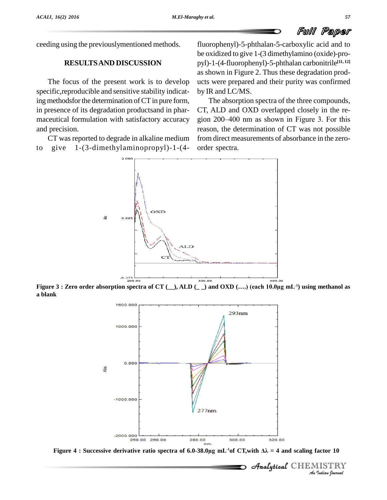ceeding using the previouslymentioned methods.

### **RESULTSAND DISCUSSION**

The focus of the present work is to develop specific,reproducible and sensitive stability indicating methodsfor the determination of CT in pure form, in presence of its degradation productsand in phar maceutical formulation with satisfactory accuracy and precision.

CT was reported to degrade in alkaline medium to give 1-(3-dimethylaminopropyl)-1-(4-

fluorophenyl)-5-phthalan-5-carboxylic acid and to be oxidized to give 1-(3 dimethylamino (oxide)-pro pyl)-1-(4-fluorophenyl)-5-phthalan carbonitrile **[11, 12]** as shown in Figure 2. Thus these degradation prod ucts were prepared and their purity was confirmed by IR and LC/MS.

The absorption spectra of the three compounds, CT, ALD and OXD overlapped closely in the re gion 200–400 nm as shown in Figure 3. For this reason, the determination of CT was not possible from direct measurements of absorbance in the zero order spectra.

 $2.000$ OXD 道

 $\begin{array}{c|c} \text{Figure 3 : Zero order absorption spectra of CT } (\_\_\text{o} \text{ALD } (\_\_\text{o}) \text{ and OXD } (\dots) \text{ (each 10.0µg mL$^{-1}$) using methanol as} \end{array}$ **a blank**



*Indian Journal*

 $\mathcal{A}$ nalytical $\mathcal{C}$ HEMISTRY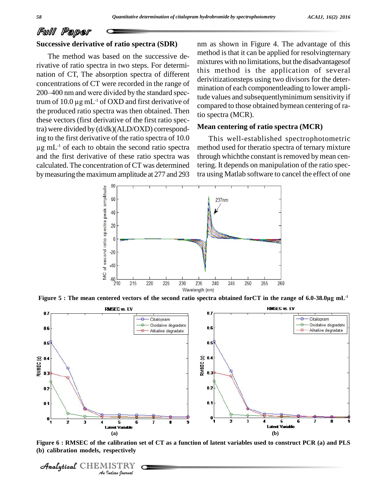#### **Successive derivative of ratio spectra (SDR)**

The method was based on the successive derivative of ratio spectra in two steps. For determi nation of CT, The absorption spectra of different<br>
concentrations of CT were recorded in the range of<br>
200–400 nm and were divided by the standard specconcentrations of CT were recorded in the range of concentrations of CT were recorded in the range of<br>200–400 nm and were divided by the standard spec-<br>trum of 10.0  $\mu$ g mL<sup>-1</sup> of OXD and first derivative of the produced ratio spectra was then obtained. Then these vectors (first derivative of the first ratio spectra) were divided by  $(d/dk)(ALD/OXD)$  correspond-<br>ing to the first derivative of the ratio spectra of 10.0<br>ug mL<sup>-1</sup> of each to obtain the second ratio spectra ing to the first derivative of the ratio spectra of 10.0  $\mu$ g mL<sup>-1</sup> of each to obtain the second ratio spectra and the first derivative of these ratio spectra was calculated. The concentration of CT was determined bymeasuring the maximumamplitude at 277 and 293

nm as shown in Figure 4. The advantage of this method is that it can be applied for resolvingternary mixtures with no limitations, but the disadvantagesof this method is the application of several derivitizationsteps using two divisors for the deter mination of each componentleading to lower amplitude values and subsequentlyminimum sensitivity if compared to those obtained bymean centering of ratio spectra (MCR).

#### **Mean centering of ratio spectra (MCR)**

This well-established spectrophotometric method used for theratio spectra of ternary mixture through which the constant is removed by mean centering. It depends on manipulation of the ratio spectra using Matlab software to cancel the effect of one





Figure 6 : RMSEC of the calibration set of CT as a function of latent variables used to construct PCR (a) and PLS **(b) calibration models, respectively**

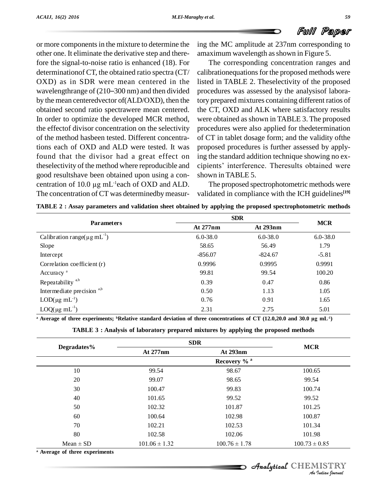or more components in the mixture to determine the other one. It eliminate the derivative step and therefore the signal-to-noise ratio is enhanced (18). For determinationof CT, the obtained ratio spectra (CT/ OXD) as in SDR were mean centered in the or more components in the mixture to determine the ing the<br>other one. It eliminate the derivative step and there-<br>fore the signal-to-noise ratio is enhanced (18). For Th<br>determinationof CT, the obtained ratio spectra (CT/ by the mean centeredvector of(ALD/OXD), then the obtained second ratio spectrawere mean centered. In order to optimize the developed MCR method, the effectof divisor concentration on the selectivity of the method hasbeen tested. Different concentrations each of OXD and ALD were tested. It was found that the divisor had a great effect on theselectivity of the method where reproducible and good resultshave been obtained upon using a con theselectivity of the method where rep<br>good resultshave been obtained upor<br>centration of 10.0 µg mL<sup>-1</sup>each of O. centration of 10.0  $\mu$ g mL<sup>-1</sup>each of OXD and ALD. The concentration of CT was determinedby measur-

ing the MC amplitude at 237nm corresponding to amaximum wavelength as shown in Figure 5.

The corresponding concentration ranges and calibrationequations for the proposed methods were listed in TABLE 2. Theselectivity of the proposed procedures was assessed by the analysisof laboratory prepared mixtures containing different ratios of the CT, OXD and ALK where satisfactory results were obtained as shown in TABLE 3. The proposed procedures were also applied for thedetermination of CT in tablet dosage form; and the validity ofthe proposed procedures is further assessed by applying the standard addition technique showing no ex cipients' interference. Theresults obtained were shown in TABLE 5.

The proposed spectrophotometric methods were validated in compliance with the ICH guidelines **[19]**

|  | TABLE 2 : Assay parameters and validation sheet obtained by applying the proposed spectrophotometric methods |  |
|--|--------------------------------------------------------------------------------------------------------------|--|
|  |                                                                                                              |  |

|              | At 293nm     | <b>MCR</b>                                                                                                                                                  |
|--------------|--------------|-------------------------------------------------------------------------------------------------------------------------------------------------------------|
| At 277nm     |              |                                                                                                                                                             |
| $6.0 - 38.0$ | $6.0 - 38.0$ | $6.0 - 38.0$                                                                                                                                                |
| 58.65        | 56.49        | 1.79                                                                                                                                                        |
| $-856.07$    | $-824.67$    | $-5.81$                                                                                                                                                     |
| 0.9996       | 0.9995       | 0.9991                                                                                                                                                      |
| 99.81        | 99.54        | 100.20                                                                                                                                                      |
| 0.39         | 0.47         | 0.86                                                                                                                                                        |
| 0.50         | 1.13         | 1.05                                                                                                                                                        |
| 0.76         | 0.91         | 1.65                                                                                                                                                        |
| 2.31         | 2.75         | 5.01                                                                                                                                                        |
|              |              | <sup>a</sup> Average of three experiments; <sup>b</sup> Relative standard deviation of three concentrations of CT (12.0,20.0 and 30.0 µg mL <sup>-1</sup> ) |

| TABLE 3 : Analysis of laboratory prepared mixtures by applying the proposed methods |
|-------------------------------------------------------------------------------------|
|-------------------------------------------------------------------------------------|

|                                           | <b>SDR</b>              |                   |                   |  |
|-------------------------------------------|-------------------------|-------------------|-------------------|--|
| Degradates%                               | At 277nm                | At 293nm          | <b>MCR</b>        |  |
|                                           | Recovery % <sup>a</sup> |                   |                   |  |
| 10                                        | 99.54                   | 98.67             | 100.65            |  |
| 20                                        | 99.07                   | 98.65             | 99.54             |  |
| 30                                        | 100.47                  | 99.83             | 100.74            |  |
| 40                                        | 101.65                  | 99.52             | 99.52             |  |
| 50                                        | 102.32                  | 101.87            | 101.25            |  |
| 60                                        | 100.64                  | 102.98            | 100.87            |  |
| 70                                        | 102.21                  | 102.53            | 101.34            |  |
| 80                                        | 102.58                  | 102.06            | 101.98            |  |
| $Mean \pm SD$                             | $101.06 \pm 1.32$       | $100.76 \pm 1.78$ | $100.73 \pm 0.85$ |  |
| <sup>a</sup> Average of three experiments |                         |                   |                   |  |

# CHEMISTRY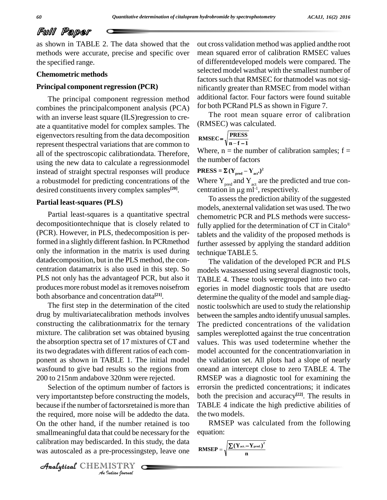as shown in TABLE 2. The data showed that the methods were accurate, precise and specific over the specified range.

#### **Chemometric methods**

#### **Principal component regression (PCR)**

The principal component regression method combines the principalcomponent analysis (PCA) with an inverse least square (ILS)regression to cre ate a quantitative model for complex samples. The eigenvectors resulting from the data decomposition represent thespectral variations that are common to all of the spectroscopic calibrationdata. Therefore, using the new data to calculate a regressionmodel instead of straight spectral responses will produce a robustmodel for predicting concentrations of the desired constituentsinvery complex samples **[20]**.

#### **Partial least-squares (PLS)**

Partial least-squares is a quantitative spectral decompositiontechnique that is closely related to (PCR). However, in PLS, thedecomposition is performed in a slightly different fashion. In PCRmethod only the information in the matrix is used during datadecomposition, but in the PLS method, the con centration datamatrix is also used in this step. So PLS not only has the advantageof PCR, but also it produces more robust model as it removes noisefrom both absorbance and concentration data **[21]**.

The first step in the determination of the cited drug by multivariatecalibration methods involves constructing the calibrationmatrix for the ternary mixture. The calibration set was obtained byusing the absorption spectra set of 17 mixtures of CT and its two degradates with different ratios of each component as shown in TABLE 1. The initial model wasfound to give bad results so the regions from 200 to 215nm andabove 320nm were rejected.

On the other hand, if the number retained is too RN *Indian Indian*<br>*Indian*<br>*I ISTRY*<br>*IISTRY* Selection of the optimum number of factors is very importantstep before constructing the models, because if the number of factorsretained is more than the required, more noise will be addedto the data. smallmeaningful data that could be necessary for the calibration may bediscarded. In this study, the data was autoscaled as a pre-processingstep, leave one

out cross validation method was applied andthe root mean squared error of calibration RMSEC values of differentdeveloped models were compared. The selected model wasthat with the smallest number of factors such that RMSEC for thatmodel was not significantly greater than RMSEC from model withan additional factor. Four factors were found suitable for both PCRand PLS as shown in Figure 7.

The root mean square error of calibration (RMSEC) was calculated.

RMSEC = 
$$
\sqrt{\frac{\text{PRESS}}{\text{n} - \text{f} - 1}}
$$

Where,  $n =$  the number of calibration samples;  $f =$ the number of factors **PRESS** =  $\Sigma (Y_{pred} - Y_{act})^2$ 

Where  $Y_{\text{pred}}$  and  $Y_{\text{act}}$  are **PRESS** =  $\Sigma$  (Y<sub>pred</sub> - Y<sub>act</sub>)<sup>2</sup><br>Where Y<sub>pred</sub> and Y<sub>act</sub> are the predicted and true con-<br>centration in µg m<sup>1-1</sup>, respectively. -1 , respectively.

To assess the prediction ability of the suggested models, anexternal validation set was used. The two chemometric PCR and PLS methods were success-Æfully applied for the determination of  $CT$  in Citalo<sup>®</sup> tablets and the validity of the proposed methods is further assessed by applying the standard addition technique TABLE 5.

The validation of the developed PCR and PLS models wasassessed using several diagnostic tools, TABLE 4. These tools weregrouped into two cat egories in model diagnostic tools that are usedto determine the quality of the model and sample diag nostic toolswhich are used to study the relationship between the samples and to identify unusual samples. The predicted concentrations of the validation samples wereplotted against the true concentration values. This was used todetermine whether the model accounted for the concentrationvariation in the validation set. All plots had a slope of nearly oneand an intercept close to zero TABLE 4. The RMSEP was a diagnostic tool for examining the errorsin the predicted concentrations; it indicates both the precision and accuracy **[22]**. The results in TABLE 4 indicate the high predictive abilities of the two models.

RMSEP was calculated from the following equation:  $\frac{1}{2}$  $-\overline{Y_{\text{pred.}}^2}$ 

$$
RMSEP = \sqrt{\frac{\sum{(Y_{\text{act.}} - Y_{\text{pred.}})}^2}{n}}
$$

CHEMISTRY COMPANY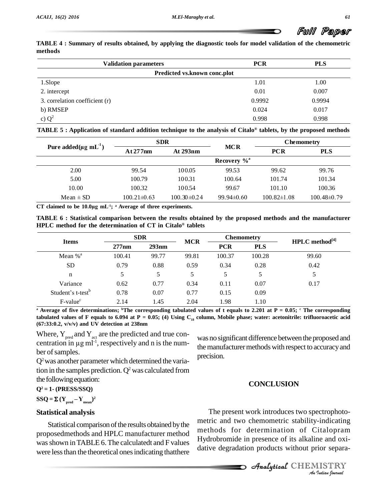TABLE 4 : Summary of results obtained, by applying the diagnostic tools for model validation of the chemometric **methods**

| <b>Validation parameters</b>   | <b>PCR</b>                   | <b>PLS</b> |
|--------------------------------|------------------------------|------------|
|                                | Predicted vs.known conc.plot |            |
| 1.Slope                        | 1.01                         | 1.00       |
| 2. intercept                   | 0.01                         | 0.007      |
| 3. correlation coefficient (r) | 0.9992                       | 0.9994     |
| b) RMSEP                       | 0.024                        | 0.017      |
| c) $Q^2$                       | 0.998                        | 0.998      |

|                                 |                   | <b>SDR</b>      |                            | <b>Chemometry</b> |                   |
|---------------------------------|-------------------|-----------------|----------------------------|-------------------|-------------------|
| Pure added $(\mu g \, mL^{-1})$ | At 277 nm         | At 293nm        | <b>MCR</b>                 | <b>PCR</b>        | <b>PLS</b>        |
|                                 |                   |                 | Recovery $\%$ <sup>a</sup> |                   |                   |
| 2.00                            | 99.54             | 100.05          | 99.53                      | 99.62             | 99.76             |
| 5.00                            | 100.79            | 100.31          | 100.64                     | 101.74            | 101.34            |
| 10.00                           | 100.32            | 100.54          | 99.67                      | 101.10            | 100.36            |
| $Mean \pm SD$                   | $100.21 \pm 0.63$ | $100.30\pm0.24$ | $99.94\pm0.60$             | $100.82 \pm 1.08$ | $100.48 \pm 0.79$ |

TABLE 6: Statistical comparison between the results obtained by the proposed methods and the manufacturer **HPLC method for the determination of CT in Citalo tablets**

| <b>Items</b>                  | <b>SDR</b> |       | <b>MCR</b> | <b>Chemometry</b>        |        | $HPLC$ method <sup>[4]</sup> |
|-------------------------------|------------|-------|------------|--------------------------|--------|------------------------------|
|                               | 277nm      | 293nm |            | <b>PCR</b><br><b>PLS</b> |        |                              |
| Mean $%$ <sup>a</sup>         | 100.41     | 99.77 | 99.81      | 100.37                   | 100.28 | 99.60                        |
| <b>SD</b>                     | 0.79       | 0.88  | 0.59       | 0.34                     | 0.28   | 0.42                         |
| n                             | 5          | 5     | 5          | 5                        | 5      | 5                            |
| Variance                      | 0.62       | 0.77  | 0.34       | 0.11                     | 0.07   | 0.17                         |
| Student's t-test <sup>b</sup> | 0.78       | 0.07  | 0.77       | 0.15                     | 0.09   |                              |
| $F-valuec$                    | 2.14       | 1.45  | 2.04       | 1.98                     | 1.10   |                              |

<sup>a</sup> Average of five determinations; <sup>b</sup>The corresponding tabulated values of t equals to 2.201 at P = 0.05;  $\degree$  The corresponding tabulated values of F equals to 6.094 at P = 0.05; (4) Using  $C_{18}$  column, Mobile phase; water: acetonitrile: trifluoroacetic acid **(67:33:0.2, v/v/v) and UV detection at 238nm**

Where,  $Y_{pred}$  and  $Y_{act}$  are the predicted and true con-(67:33:0.2, v/v/v) and UV detection at 238nm<br>Where,  $Y_{pred}$  and  $Y_{act}$  are the predicted and true con-<br>centration in  $\mu g$  ml<sup>-1</sup>, respectively and n is the number of samples.

 $Q<sup>2</sup>$  was another parameter which determined the variation in the samples prediction.  $Q^2$  was calculated from the following equation:

**Q<sup>2</sup> = 1- (PRESS/SSQ) SSQ** =  $\sum$  (**PRESS/SSQ**)<br>**SSQ** =  $\sum$  (**Y**<sub>pred</sub> - Y<sub>mean</sub>)<sup>2</sup> **2**

$$
33Q = \Delta (1_{pred} - 1_{mean})
$$

#### **Statistical analysis**

Statistical comparison of the results obtained by the proposedmethods and HPLC manufacturer method was shown in TABLE 6. The calculatedt and F values were less than the theoretical ones indicating that there was no significant difference between the proposed and the manufacturer methods with respect to accuracy and precision.

#### **CONCLUSION**

metric and two chemometric stability-indicating *Indicating*<br>*Italopram*<br>me and oxitior separa-<br>IISTRY<br>*Indian Iournal* The present work introduces two spectrophoto methods for determination of Citalopram Hydrobromide in presence of its alkaline and oxi dative degradation products without prior separa-

CHEMISTRY